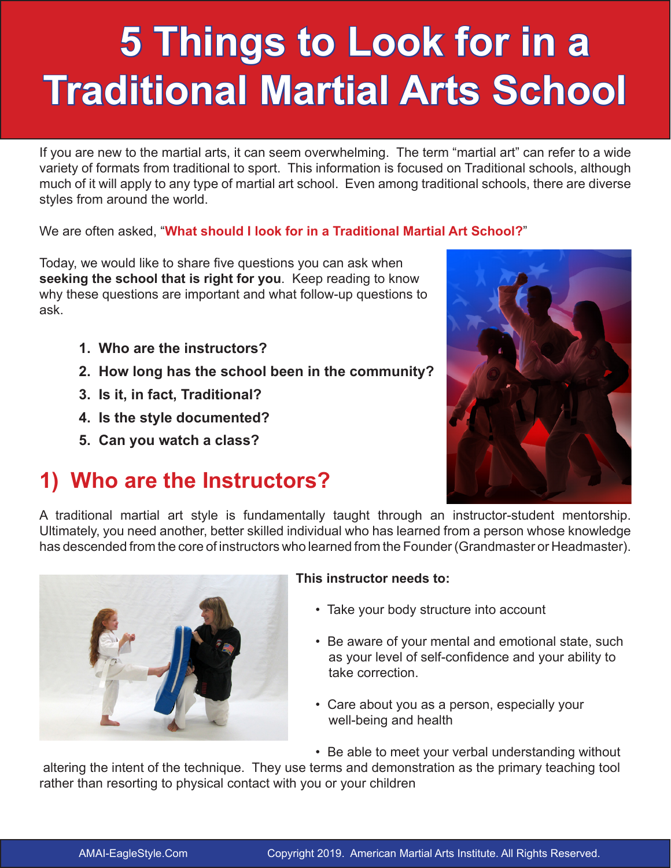# **5 Things to Look for in a Traditional Martial Arts School**

If you are new to the martial arts, it can seem overwhelming. The term "martial art" can refer to a wide variety of formats from traditional to sport. This information is focused on Traditional schools, although much of it will apply to any type of martial art school. Even among traditional schools, there are diverse styles from around the world.

We are often asked, "**What should I look for in a Traditional Martial Art School?**"

Today, we would like to share five questions you can ask when **seeking the school that is right for you**. Keep reading to know why these questions are important and what follow-up questions to ask.

- **1. Who are the instructors?**
- **2. How long has the school been in the community?**
- **3. Is it, in fact, Traditional?**
- **4. Is the style documented?**
- **5. Can you watch a class?**

# **1) Who are the Instructors?**



A traditional martial art style is fundamentally taught through an instructor-student mentorship. Ultimately, you need another, better skilled individual who has learned from a person whose knowledge has descended from the core of instructors who learned from the Founder (Grandmaster or Headmaster).



### **This instructor needs to:**

- Take your body structure into account
- Be aware of your mental and emotional state, such as your level of self-confidence and your ability to take correction.
- Care about you as a person, especially your well-being and health
- Be able to meet your verbal understanding without

 altering the intent of the technique. They use terms and demonstration as the primary teaching tool rather than resorting to physical contact with you or your children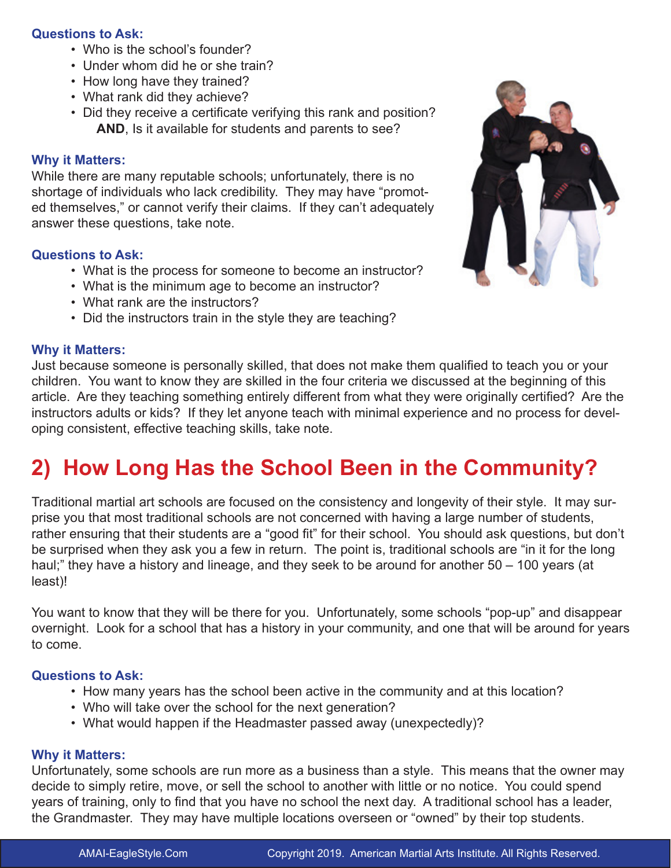#### **Questions to Ask:**

- Who is the school's founder?
- Under whom did he or she train?
- How long have they trained?
- What rank did they achieve?
- Did they receive a certificate verifying this rank and position? **AND**, Is it available for students and parents to see?

#### **Why it Matters:**

While there are many reputable schools; unfortunately, there is no shortage of individuals who lack credibility. They may have "promoted themselves," or cannot verify their claims. If they can't adequately answer these questions, take note.

#### **Questions to Ask:**

- What is the process for someone to become an instructor?
- What is the minimum age to become an instructor?
- What rank are the instructors?
- Did the instructors train in the style they are teaching?

#### **Why it Matters:**

Just because someone is personally skilled, that does not make them qualified to teach you or your children. You want to know they are skilled in the four criteria we discussed at the beginning of this article. Are they teaching something entirely different from what they were originally certified? Are the instructors adults or kids? If they let anyone teach with minimal experience and no process for developing consistent, effective teaching skills, take note.

### **2) How Long Has the School Been in the Community?**

Traditional martial art schools are focused on the consistency and longevity of their style. It may surprise you that most traditional schools are not concerned with having a large number of students, rather ensuring that their students are a "good fit" for their school. You should ask questions, but don't be surprised when they ask you a few in return. The point is, traditional schools are "in it for the long haul;" they have a history and lineage, and they seek to be around for another 50 – 100 years (at least)!

You want to know that they will be there for you. Unfortunately, some schools "pop-up" and disappear overnight. Look for a school that has a history in your community, and one that will be around for years to come.

### **Questions to Ask:**

- How many years has the school been active in the community and at this location?
- Who will take over the school for the next generation?
- What would happen if the Headmaster passed away (unexpectedly)?

#### **Why it Matters:**

Unfortunately, some schools are run more as a business than a style. This means that the owner may decide to simply retire, move, or sell the school to another with little or no notice. You could spend years of training, only to find that you have no school the next day. A traditional school has a leader, the Grandmaster. They may have multiple locations overseen or "owned" by their top students.

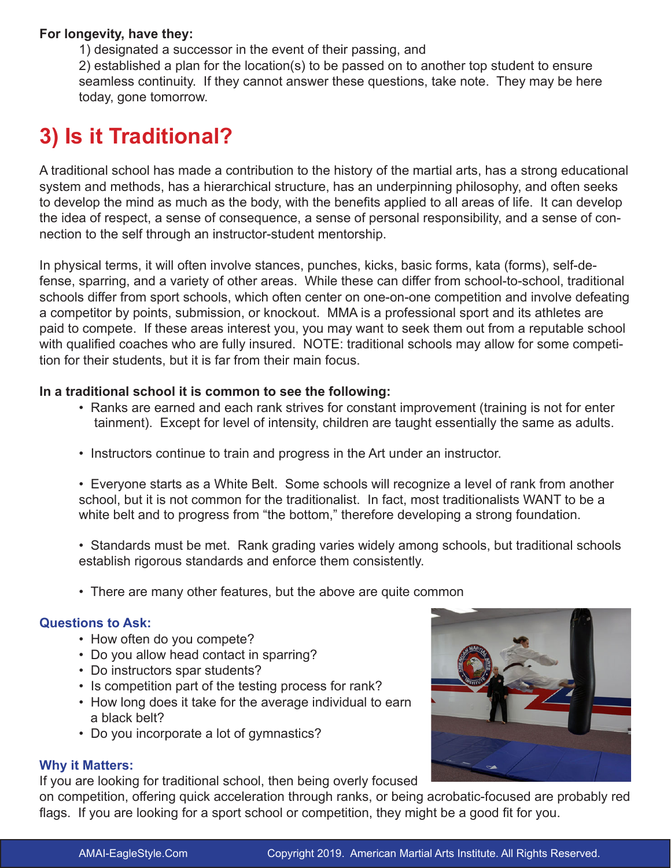### **For longevity, have they:**

1) designated a successor in the event of their passing, and

2) established a plan for the location(s) to be passed on to another top student to ensure seamless continuity. If they cannot answer these questions, take note. They may be here today, gone tomorrow.

### **3) Is it Traditional?**

A traditional school has made a contribution to the history of the martial arts, has a strong educational system and methods, has a hierarchical structure, has an underpinning philosophy, and often seeks to develop the mind as much as the body, with the benefits applied to all areas of life. It can develop the idea of respect, a sense of consequence, a sense of personal responsibility, and a sense of connection to the self through an instructor-student mentorship.

In physical terms, it will often involve stances, punches, kicks, basic forms, kata (forms), self-defense, sparring, and a variety of other areas. While these can differ from school-to-school, traditional schools differ from sport schools, which often center on one-on-one competition and involve defeating a competitor by points, submission, or knockout. MMA is a professional sport and its athletes are paid to compete. If these areas interest you, you may want to seek them out from a reputable school with qualified coaches who are fully insured. NOTE: traditional schools may allow for some competition for their students, but it is far from their main focus.

### **In a traditional school it is common to see the following:**

- Ranks are earned and each rank strives for constant improvement (training is not for enter tainment). Except for level of intensity, children are taught essentially the same as adults.
- Instructors continue to train and progress in the Art under an instructor.
- Everyone starts as a White Belt. Some schools will recognize a level of rank from another school, but it is not common for the traditionalist. In fact, most traditionalists WANT to be a white belt and to progress from "the bottom," therefore developing a strong foundation.
- Standards must be met. Rank grading varies widely among schools, but traditional schools establish rigorous standards and enforce them consistently.
- There are many other features, but the above are quite common

### **Questions to Ask:**

- How often do you compete?
- Do you allow head contact in sparring?
- Do instructors spar students?
- Is competition part of the testing process for rank?
- How long does it take for the average individual to earn a black belt?
- Do you incorporate a lot of gymnastics?

### **Why it Matters:**

If you are looking for traditional school, then being overly focused

on competition, offering quick acceleration through ranks, or being acrobatic-focused are probably red flags. If you are looking for a sport school or competition, they might be a good fit for you.